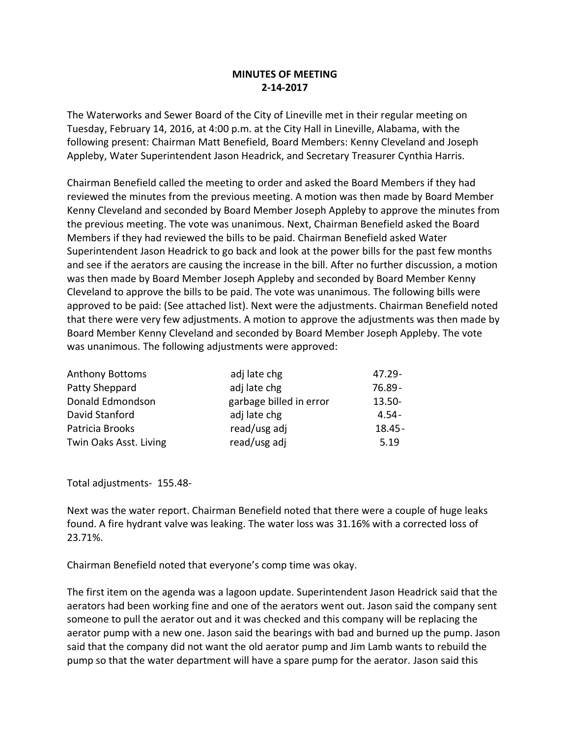## **MINUTES OF MEETING 2-14-2017**

The Waterworks and Sewer Board of the City of Lineville met in their regular meeting on Tuesday, February 14, 2016, at 4:00 p.m. at the City Hall in Lineville, Alabama, with the following present: Chairman Matt Benefield, Board Members: Kenny Cleveland and Joseph Appleby, Water Superintendent Jason Headrick, and Secretary Treasurer Cynthia Harris.

Chairman Benefield called the meeting to order and asked the Board Members if they had reviewed the minutes from the previous meeting. A motion was then made by Board Member Kenny Cleveland and seconded by Board Member Joseph Appleby to approve the minutes from the previous meeting. The vote was unanimous. Next, Chairman Benefield asked the Board Members if they had reviewed the bills to be paid. Chairman Benefield asked Water Superintendent Jason Headrick to go back and look at the power bills for the past few months and see if the aerators are causing the increase in the bill. After no further discussion, a motion was then made by Board Member Joseph Appleby and seconded by Board Member Kenny Cleveland to approve the bills to be paid. The vote was unanimous. The following bills were approved to be paid: (See attached list). Next were the adjustments. Chairman Benefield noted that there were very few adjustments. A motion to approve the adjustments was then made by Board Member Kenny Cleveland and seconded by Board Member Joseph Appleby. The vote was unanimous. The following adjustments were approved:

| <b>Anthony Bottoms</b> | adj late chg            | 47.29-    |
|------------------------|-------------------------|-----------|
| Patty Sheppard         | adj late chg            | 76.89-    |
| Donald Edmondson       | garbage billed in error | $13.50 -$ |
| David Stanford         | adj late chg            | 4.54 -    |
| Patricia Brooks        | read/usg adj            | $18.45 -$ |
| Twin Oaks Asst. Living | read/usg adj            | 5.19      |

Total adjustments- 155.48-

Next was the water report. Chairman Benefield noted that there were a couple of huge leaks found. A fire hydrant valve was leaking. The water loss was 31.16% with a corrected loss of 23.71%.

Chairman Benefield noted that everyone's comp time was okay.

The first item on the agenda was a lagoon update. Superintendent Jason Headrick said that the aerators had been working fine and one of the aerators went out. Jason said the company sent someone to pull the aerator out and it was checked and this company will be replacing the aerator pump with a new one. Jason said the bearings with bad and burned up the pump. Jason said that the company did not want the old aerator pump and Jim Lamb wants to rebuild the pump so that the water department will have a spare pump for the aerator. Jason said this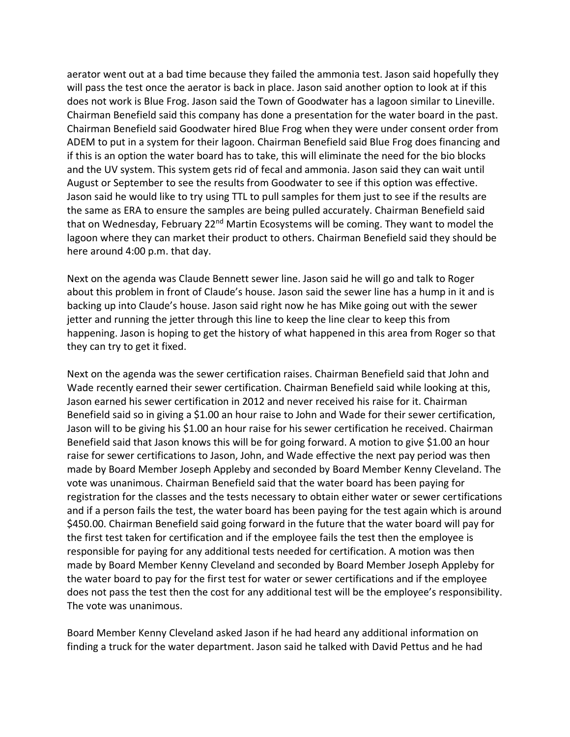aerator went out at a bad time because they failed the ammonia test. Jason said hopefully they will pass the test once the aerator is back in place. Jason said another option to look at if this does not work is Blue Frog. Jason said the Town of Goodwater has a lagoon similar to Lineville. Chairman Benefield said this company has done a presentation for the water board in the past. Chairman Benefield said Goodwater hired Blue Frog when they were under consent order from ADEM to put in a system for their lagoon. Chairman Benefield said Blue Frog does financing and if this is an option the water board has to take, this will eliminate the need for the bio blocks and the UV system. This system gets rid of fecal and ammonia. Jason said they can wait until August or September to see the results from Goodwater to see if this option was effective. Jason said he would like to try using TTL to pull samples for them just to see if the results are the same as ERA to ensure the samples are being pulled accurately. Chairman Benefield said that on Wednesday, February 22<sup>nd</sup> Martin Ecosystems will be coming. They want to model the lagoon where they can market their product to others. Chairman Benefield said they should be here around 4:00 p.m. that day.

Next on the agenda was Claude Bennett sewer line. Jason said he will go and talk to Roger about this problem in front of Claude's house. Jason said the sewer line has a hump in it and is backing up into Claude's house. Jason said right now he has Mike going out with the sewer jetter and running the jetter through this line to keep the line clear to keep this from happening. Jason is hoping to get the history of what happened in this area from Roger so that they can try to get it fixed.

Next on the agenda was the sewer certification raises. Chairman Benefield said that John and Wade recently earned their sewer certification. Chairman Benefield said while looking at this, Jason earned his sewer certification in 2012 and never received his raise for it. Chairman Benefield said so in giving a \$1.00 an hour raise to John and Wade for their sewer certification, Jason will to be giving his \$1.00 an hour raise for his sewer certification he received. Chairman Benefield said that Jason knows this will be for going forward. A motion to give \$1.00 an hour raise for sewer certifications to Jason, John, and Wade effective the next pay period was then made by Board Member Joseph Appleby and seconded by Board Member Kenny Cleveland. The vote was unanimous. Chairman Benefield said that the water board has been paying for registration for the classes and the tests necessary to obtain either water or sewer certifications and if a person fails the test, the water board has been paying for the test again which is around \$450.00. Chairman Benefield said going forward in the future that the water board will pay for the first test taken for certification and if the employee fails the test then the employee is responsible for paying for any additional tests needed for certification. A motion was then made by Board Member Kenny Cleveland and seconded by Board Member Joseph Appleby for the water board to pay for the first test for water or sewer certifications and if the employee does not pass the test then the cost for any additional test will be the employee's responsibility. The vote was unanimous.

Board Member Kenny Cleveland asked Jason if he had heard any additional information on finding a truck for the water department. Jason said he talked with David Pettus and he had